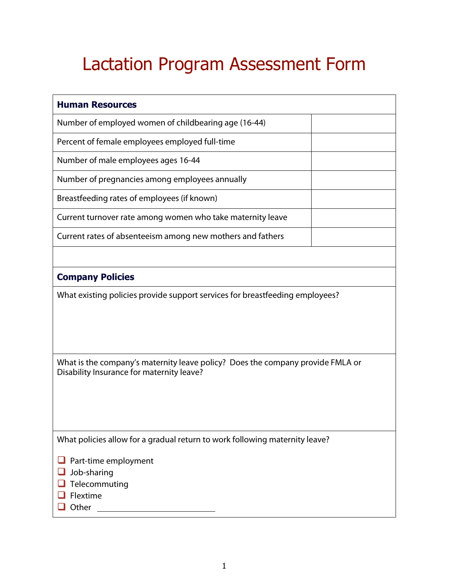## Lactation Program Assessment Form

| <b>Human Resources</b>                                                                                                      |  |  |
|-----------------------------------------------------------------------------------------------------------------------------|--|--|
| Number of employed women of childbearing age (16-44)                                                                        |  |  |
| Percent of female employees employed full-time                                                                              |  |  |
| Number of male employees ages 16-44                                                                                         |  |  |
| Number of pregnancies among employees annually                                                                              |  |  |
| Breastfeeding rates of employees (if known)                                                                                 |  |  |
| Current turnover rate among women who take maternity leave                                                                  |  |  |
| Current rates of absenteeism among new mothers and fathers                                                                  |  |  |
|                                                                                                                             |  |  |
| <b>Company Policies</b>                                                                                                     |  |  |
| What existing policies provide support services for breastfeeding employees?                                                |  |  |
|                                                                                                                             |  |  |
|                                                                                                                             |  |  |
| What is the company's maternity leave policy? Does the company provide FMLA or<br>Disability Insurance for maternity leave? |  |  |
|                                                                                                                             |  |  |
|                                                                                                                             |  |  |
|                                                                                                                             |  |  |
| What policies allow for a gradual return to work following maternity leave?                                                 |  |  |
| Part-time employment                                                                                                        |  |  |
| Job-sharing<br>Telecommuting                                                                                                |  |  |
| Flextime                                                                                                                    |  |  |
| Other<br><u> 1990 - Johann Barbara, martin a</u>                                                                            |  |  |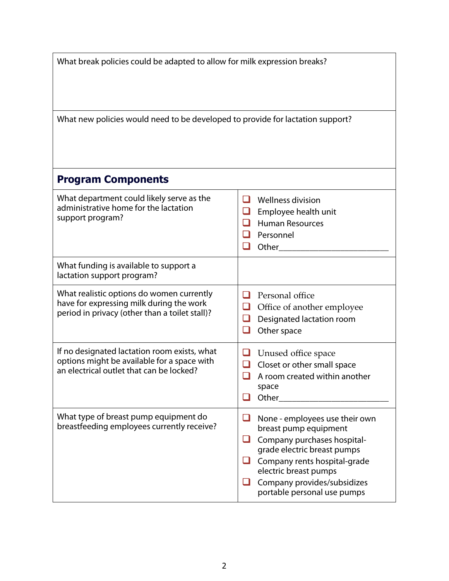| What break policies could be adapted to allow for milk expression breaks?<br>What new policies would need to be developed to provide for lactation support? |                                                                                                                                                                                                                                              |  |
|-------------------------------------------------------------------------------------------------------------------------------------------------------------|----------------------------------------------------------------------------------------------------------------------------------------------------------------------------------------------------------------------------------------------|--|
|                                                                                                                                                             |                                                                                                                                                                                                                                              |  |
| What department could likely serve as the<br>administrative home for the lactation<br>support program?                                                      | <b>Wellness division</b><br>ш<br>$\sqcup$<br>Employee health unit<br>$\Box$<br><b>Human Resources</b><br>Personnel<br>ப<br>$\mathcal{A}$<br>Other                                                                                            |  |
| What funding is available to support a<br>lactation support program?                                                                                        |                                                                                                                                                                                                                                              |  |
| What realistic options do women currently<br>have for expressing milk during the work<br>period in privacy (other than a toilet stall)?                     | П<br>Personal office<br>$\sqcup$<br>Office of another employee<br>Designated lactation room<br>⊔<br>$\blacksquare$<br>Other space                                                                                                            |  |
| If no designated lactation room exists, what<br>options might be available for a space with<br>an electrical outlet that can be locked?                     | Unused office space<br>Closet or other small space<br>ப<br>A room created within another<br>space<br>Other                                                                                                                                   |  |
| What type of breast pump equipment do<br>breastfeeding employees currently receive?                                                                         | None - employees use their own<br>breast pump equipment<br>Company purchases hospital-<br>grade electric breast pumps<br>Company rents hospital-grade<br>electric breast pumps<br>Company provides/subsidizes<br>portable personal use pumps |  |